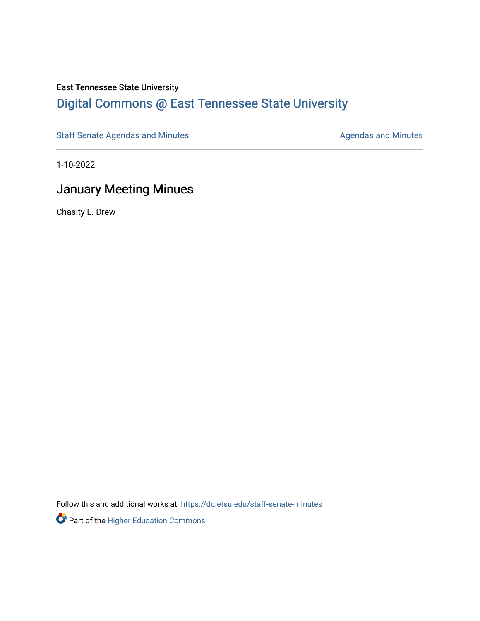#### East Tennessee State University

### [Digital Commons @ East Tennessee State University](https://dc.etsu.edu/)

[Staff Senate Agendas and Minutes](https://dc.etsu.edu/staff-senate-minutes) **Agent Agent Staff Senate Agendas and Minutes** Agendas and Minutes

1-10-2022

### January Meeting Minues

Chasity L. Drew

Follow this and additional works at: [https://dc.etsu.edu/staff-senate-minutes](https://dc.etsu.edu/staff-senate-minutes?utm_source=dc.etsu.edu%2Fstaff-senate-minutes%2F33&utm_medium=PDF&utm_campaign=PDFCoverPages)

Part of the [Higher Education Commons](http://network.bepress.com/hgg/discipline/1245?utm_source=dc.etsu.edu%2Fstaff-senate-minutes%2F33&utm_medium=PDF&utm_campaign=PDFCoverPages)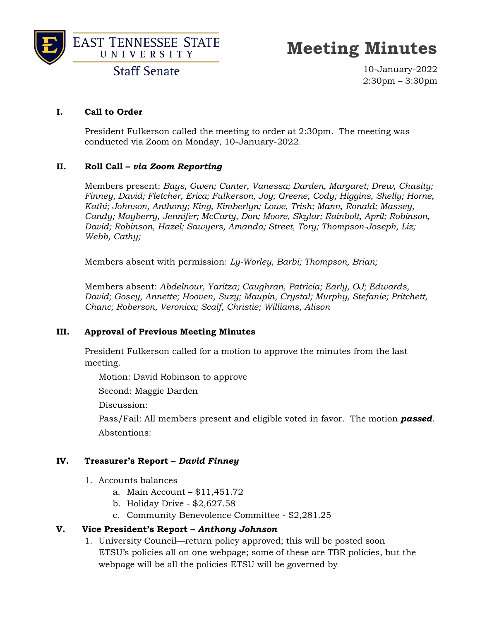



## **Meeting Minutes**

**Staff Senate** 

10-January-2022 2:30pm – 3:30pm

#### **I. Call to Order**

President Fulkerson called the meeting to order at 2:30pm. The meeting was conducted via Zoom on Monday, 10-January-2022.

#### **II. Roll Call –** *via Zoom Reporting*

Members present: *Bays, Gwen; Canter, Vanessa; Darden, Margaret; Drew, Chasity; Finney, David; Fletcher, Erica; Fulkerson, Joy; Greene, Cody; Higgins, Shelly; Horne, Kathi; Johnson, Anthony; King, Kimberlyn; Lowe, Trish; Mann, Ronald; Massey, Candy; Mayberry, Jennifer; McCarty, Don; Moore, Skylar; Rainbolt, April; Robinson, David; Robinson, Hazel; Sawyers, Amanda; Street, Tory; Thompson-Joseph, Liz; Webb, Cathy;* 

Members absent with permission: *Ly-Worley, Barbi; Thompson, Brian;*

Members absent: *Abdelnour, Yaritza; Caughran, Patricia; Early, OJ; Edwards, David; Gosey, Annette; Hooven, Suzy; Maupin, Crystal; Murphy, Stefanie; Pritchett, Chanc; Roberson, Veronica; Scalf, Christie; Williams, Alison*

#### **III. Approval of Previous Meeting Minutes**

President Fulkerson called for a motion to approve the minutes from the last meeting.

Motion: David Robinson to approve

Second: Maggie Darden

Discussion:

Pass/Fail: All members present and eligible voted in favor. The motion *passed*. Abstentions:

#### **IV. Treasurer's Report –** *David Finney*

- 1. Accounts balances
	- a. Main Account \$11,451.72
	- b. Holiday Drive \$2,627.58
	- c. Community Benevolence Committee \$2,281.25

#### **V. Vice President's Report –** *Anthony Johnson*

1. University Council—return policy approved; this will be posted soon ETSU's policies all on one webpage; some of these are TBR policies, but the webpage will be all the policies ETSU will be governed by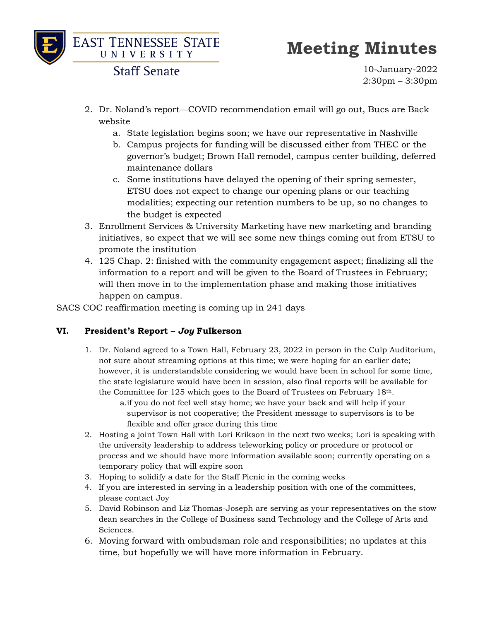

## **Meeting Minutes**

**Staff Senate** 

10-January-2022 2:30pm – 3:30pm

- 2. Dr. Noland's report—COVID recommendation email will go out, Bucs are Back website
	- a. State legislation begins soon; we have our representative in Nashville
	- b. Campus projects for funding will be discussed either from THEC or the governor's budget; Brown Hall remodel, campus center building, deferred maintenance dollars
	- c. Some institutions have delayed the opening of their spring semester, ETSU does not expect to change our opening plans or our teaching modalities; expecting our retention numbers to be up, so no changes to the budget is expected
- 3. Enrollment Services & University Marketing have new marketing and branding initiatives, so expect that we will see some new things coming out from ETSU to promote the institution
- 4. 125 Chap. 2: finished with the community engagement aspect; finalizing all the information to a report and will be given to the Board of Trustees in February; will then move in to the implementation phase and making those initiatives happen on campus.

SACS COC reaffirmation meeting is coming up in 241 days

#### **VI. President's Report –** *Joy* **Fulkerson**

1. Dr. Noland agreed to a Town Hall, February 23, 2022 in person in the Culp Auditorium, not sure about streaming options at this time; we were hoping for an earlier date; however, it is understandable considering we would have been in school for some time, the state legislature would have been in session, also final reports will be available for the Committee for 125 which goes to the Board of Trustees on February 18th.

a.if you do not feel well stay home; we have your back and will help if your supervisor is not cooperative; the President message to supervisors is to be flexible and offer grace during this time

- 2. Hosting a joint Town Hall with Lori Erikson in the next two weeks; Lori is speaking with the university leadership to address teleworking policy or procedure or protocol or process and we should have more information available soon; currently operating on a temporary policy that will expire soon
- 3. Hoping to solidify a date for the Staff Picnic in the coming weeks
- 4. If you are interested in serving in a leadership position with one of the committees, please contact Joy
- 5. David Robinson and Liz Thomas-Joseph are serving as your representatives on the stow dean searches in the College of Business sand Technology and the College of Arts and Sciences.
- 6. Moving forward with ombudsman role and responsibilities; no updates at this time, but hopefully we will have more information in February.